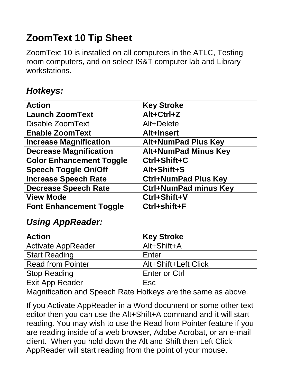# **ZoomText 10 Tip Sheet**

ZoomText 10 is installed on all computers in the ATLC, Testing room computers, and on select IS&T computer lab and Library workstations.

### *Hotkeys:*

| <b>Action</b>                   | <b>Key Stroke</b>            |
|---------------------------------|------------------------------|
| <b>Launch ZoomText</b>          | Alt+Ctrl+Z                   |
| <b>Disable ZoomText</b>         | Alt+Delete                   |
| <b>Enable ZoomText</b>          | Alt+Insert                   |
| <b>Increase Magnification</b>   | <b>Alt+NumPad Plus Key</b>   |
| <b>Decrease Magnification</b>   | <b>Alt+NumPad Minus Key</b>  |
| <b>Color Enhancement Toggle</b> | Ctrl+Shift+C                 |
| <b>Speech Toggle On/Off</b>     | Alt+Shift+S                  |
| <b>Increase Speech Rate</b>     | <b>Ctrl+NumPad Plus Key</b>  |
| <b>Decrease Speech Rate</b>     | <b>Ctrl+NumPad minus Key</b> |
| <b>View Mode</b>                | Ctrl+Shift+V                 |
| <b>Font Enhancement Toggle</b>  | Ctrl+shift+F                 |

### *Using AppReader:*

| <b>Action</b>             | <b>Key Stroke</b>    |
|---------------------------|----------------------|
| <b>Activate AppReader</b> | Alt+Shift+A          |
| <b>Start Reading</b>      | Enter                |
| <b>Read from Pointer</b>  | Alt+Shift+Left Click |
| <b>Stop Reading</b>       | <b>Enter or Ctrl</b> |
| <b>Exit App Reader</b>    | Esc                  |

Magnification and Speech Rate Hotkeys are the same as above.

If you Activate AppReader in a Word document or some other text editor then you can use the Alt+Shift+A command and it will start reading. You may wish to use the Read from Pointer feature if you are reading inside of a web browser, Adobe Acrobat, or an e-mail client. When you hold down the Alt and Shift then Left Click AppReader will start reading from the point of your mouse.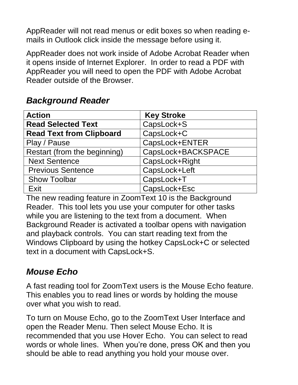AppReader will not read menus or edit boxes so when reading emails in Outlook click inside the message before using it.

AppReader does not work inside of Adobe Acrobat Reader when it opens inside of Internet Explorer. In order to read a PDF with AppReader you will need to open the PDF with Adobe Acrobat Reader outside of the Browser.

### *Background Reader*

| <b>Action</b>                   | <b>Key Stroke</b>  |
|---------------------------------|--------------------|
| <b>Read Selected Text</b>       | CapsLock+S         |
| <b>Read Text from Clipboard</b> | CapsLock+C         |
| Play / Pause                    | CapsLock+ENTER     |
| Restart (from the beginning)    | CapsLock+BACKSPACE |
| <b>Next Sentence</b>            | CapsLock+Right     |
| <b>Previous Sentence</b>        | CapsLock+Left      |
| <b>Show Toolbar</b>             | CapsLock+T         |
| Exit                            | CapsLock+Esc       |

The new reading feature in ZoomText 10 is the Background Reader. This tool lets you use your computer for other tasks while you are listening to the text from a document. When Background Reader is activated a toolbar opens with navigation and playback controls. You can start reading text from the Windows Clipboard by using the hotkey CapsLock+C or selected text in a document with CapsLock+S.

# *Mouse Echo*

A fast reading tool for ZoomText users is the Mouse Echo feature. This enables you to read lines or words by holding the mouse over what you wish to read.

To turn on Mouse Echo, go to the ZoomText User Interface and open the Reader Menu. Then select Mouse Echo. It is recommended that you use Hover Echo. You can select to read words or whole lines. When you're done, press OK and then you should be able to read anything you hold your mouse over.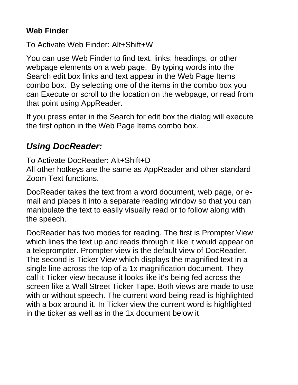#### **Web Finder**

To Activate Web Finder: Alt+Shift+W

You can use Web Finder to find text, links, headings, or other webpage elements on a web page. By typing words into the Search edit box links and text appear in the Web Page Items combo box. By selecting one of the items in the combo box you can Execute or scroll to the location on the webpage, or read from that point using AppReader.

If you press enter in the Search for edit box the dialog will execute the first option in the Web Page Items combo box.

# *Using DocReader:*

To Activate DocReader: Alt+Shift+D

All other hotkeys are the same as AppReader and other standard Zoom Text functions.

DocReader takes the text from a word document, web page, or email and places it into a separate reading window so that you can manipulate the text to easily visually read or to follow along with the speech.

DocReader has two modes for reading. The first is Prompter View which lines the text up and reads through it like it would appear on a teleprompter. Prompter view is the default view of DocReader. The second is Ticker View which displays the magnified text in a single line across the top of a 1x magnification document. They call it Ticker view because it looks like it's being fed across the screen like a Wall Street Ticker Tape. Both views are made to use with or without speech. The current word being read is highlighted with a box around it. In Ticker view the current word is highlighted in the ticker as well as in the 1x document below it.